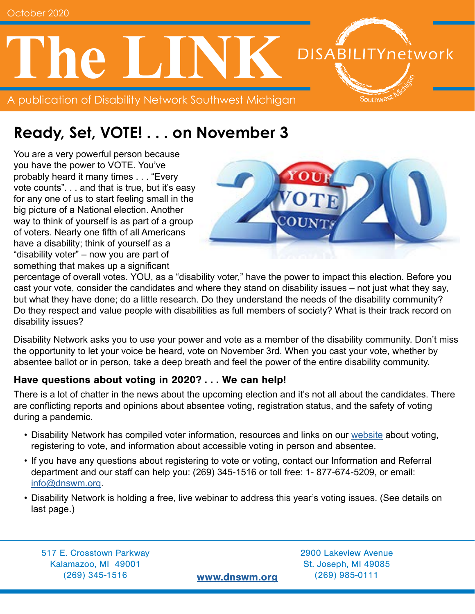

### **Ready, Set, VOTE! . . . on November 3**

You are a very powerful person because you have the power to VOTE. You've probably heard it many times . . . "Every vote counts". . . and that is true, but it's easy for any one of us to start feeling small in the big picture of a National election. Another way to think of yourself is as part of a group of voters. Nearly one fifth of all Americans have a disability; think of yourself as a "disability voter" – now you are part of something that makes up a significant



percentage of overall votes. YOU, as a "disability voter," have the power to impact this election. Before you cast your vote, consider the candidates and where they stand on disability issues – not just what they say, but what they have done; do a little research. Do they understand the needs of the disability community? Do they respect and value people with disabilities as full members of society? What is their track record on disability issues?

Disability Network asks you to use your power and vote as a member of the disability community. Don't miss the opportunity to let your voice be heard, vote on November 3rd. When you cast your vote, whether by absentee ballot or in person, take a deep breath and feel the power of the entire disability community.

#### Have questions about voting in 2020? . . . We can help!

There is a lot of chatter in the news about the upcoming election and it's not all about the candidates. There are conflicting reports and opinions about absentee voting, registration status, and the safety of voting during a pandemic.

- Disability Network has compiled voter information, resources and links on our [website](http://www.dnswm.org/2020-vote/) about voting, registering to vote, and information about accessible voting in person and absentee.
- If you have any questions about registering to vote or voting, contact our Information and Referral department and our staff can help you: (269) 345-1516 or toll free: 1- 877-674-5209, or email: [info@dnswm.org](mailto:info%40dnswm.org?subject=Voting).
- Disability Network is holding a free, live webinar to address this year's voting issues. (See details on last page.)

517 E. Crosstown Parkway 2900 Lakeview Avenue Kalamazoo, MI 49001 St. Joseph, MI 49085 (269) 345-1516 [www.dnswm.org](http://www.dnswm.org) (269) 985-0111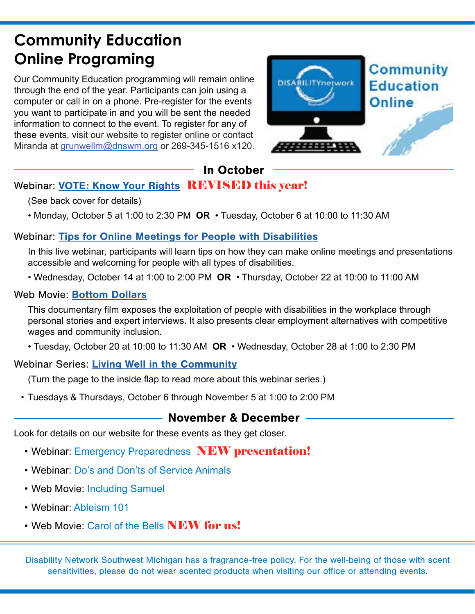### **Community Education Online Programing**

Our Community Education programming will remain online through the end of the year. Participants can join using a computer or call in on a phone. Pre-register for the events you want to participate in and you will be sent the needed information to connect to the event. To register for any of these events, visit our website to register online or contact Miranda at [grunwellm@dnswm.org](mailto:grunwellm%40dnswm.org?subject=Community%20Education) or 269-345-1516 x120.



### In October

### Webinar: [VOTE: Know Your Rights](http://www.dnswm.org/vote-know-your-rights/) REVISED this year!

(See back cover for details)

• Monday, October 5 at 1:00 to 2:30 PM **OR** • Tuesday, October 6 at 10:00 to 11:30 AM

#### Webinar: [Tips for Online Meetings for People with Disabilities](http://www.dnswm.org/tips-for-online-meetings-for-people-with-disabilities/)

In this live webinar, participants will learn tips on how they can make online meetings and presentations accessible and welcoming for people with all types of disabilities.

• Wednesday, October 14 at 1:00 to 2:00 PM **OR** • Thursday, October 22 at 10:00 to 11:00 AM

#### Web Movie: **[Bottom Dollars](http://www.dnswm.org/web-movie-bottom-dollars/)**

This documentary film exposes the exploitation of people with disabilities in the workplace through personal stories and expert interviews. It also presents clear employment alternatives with competitive wages and community inclusion.

• Tuesday, October 20 at 10:00 to 11:30 AM **OR** • Wednesday, October 28 at 1:00 to 2:30 PM

#### Webinar Series: [Living Well in the Community](http://www.dnswm.org/living-well-in-the-community-workshop-series/)

(Turn the page to the inside flap to read more about this webinar series.)

• Tuesdays & Thursdays, October 6 through November 5 at 1:00 to 2:00 PM

#### November & December

Look for details on our website for these events as they get closer.

- Webinar: Emergency Preparedness NEW presentation!
- Webinar: Do's and Don'ts of Service Animals
- Web Movie: Including Samuel
- Webinar: Ableism 101
- Web Movie: Carol of the Bells **NEW for us!**

Disability Network Southwest Michigan has a fragrance-free policy. For the well-being of those with scent sensitivities, please do not wear scented products when visiting our office or attending events.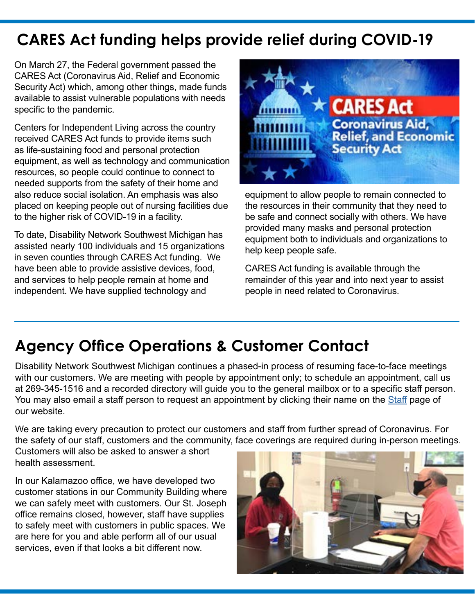# **CARES Act funding helps provide relief during COVID-19**

On March 27, the Federal government passed the CARES Act (Coronavirus Aid, Relief and Economic Security Act) which, among other things, made funds available to assist vulnerable populations with needs specific to the pandemic.

Centers for Independent Living across the country received CARES Act funds to provide items such as life-sustaining food and personal protection equipment, as well as technology and communication resources, so people could continue to connect to needed supports from the safety of their home and also reduce social isolation. An emphasis was also placed on keeping people out of nursing facilities due to the higher risk of COVID-19 in a facility.

To date, Disability Network Southwest Michigan has assisted nearly 100 individuals and 15 organizations in seven counties through CARES Act funding. We have been able to provide assistive devices, food, and services to help people remain at home and independent. We have supplied technology and



equipment to allow people to remain connected to the resources in their community that they need to be safe and connect socially with others. We have provided many masks and personal protection equipment both to individuals and organizations to help keep people safe.

CARES Act funding is available through the remainder of this year and into next year to assist people in need related to Coronavirus.

### **Agency Office Operations & Customer Contact**

Disability Network Southwest Michigan continues a phased-in process of resuming face-to-face meetings with our customers. We are meeting with people by appointment only; to schedule an appointment, call us at 269-345-1516 and a recorded directory will guide you to the general mailbox or to a specific staff person. You may also email a staff person to request an appointment by clicking their name on the [Staff](http://www.dnswm.org/about-us/staff/) page of our website.

We are taking every precaution to protect our customers and staff from further spread of Coronavirus. For the safety of our staff, customers and the community, face coverings are required during in-person meetings.

Customers will also be asked to answer a short health assessment.

In our Kalamazoo office, we have developed two customer stations in our Community Building where we can safely meet with customers. Our St. Joseph office remains closed, however, staff have supplies to safely meet with customers in public spaces. We are here for you and able perform all of our usual services, even if that looks a bit different now.

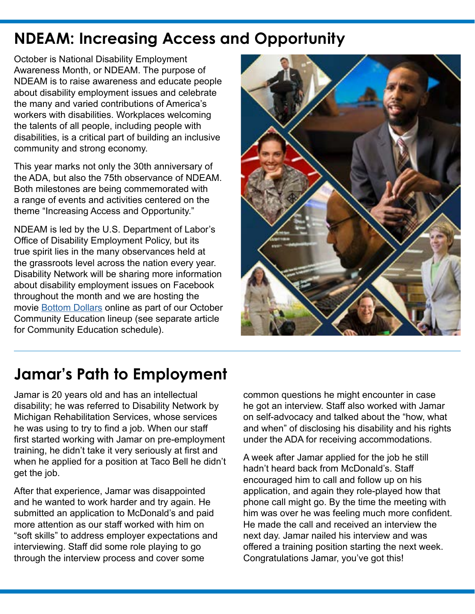### **NDEAM: Increasing Access and Opportunity**

October is National Disability Employment Awareness Month, or NDEAM. The purpose of NDEAM is to raise awareness and educate people about disability employment issues and celebrate the many and varied contributions of America's workers with disabilities. Workplaces welcoming the talents of all people, including people with disabilities, is a critical part of building an inclusive community and strong economy.

This year marks not only the 30th anniversary of the ADA, but also the 75th observance of NDEAM. Both milestones are being commemorated with a range of events and activities centered on the theme "Increasing Access and Opportunity."

NDEAM is led by the U.S. Department of Labor's Office of Disability Employment Policy, but its true spirit lies in the many observances held at the grassroots level across the nation every year. Disability Network will be sharing more information about disability employment issues on Facebook throughout the month and we are hosting the movie [Bottom Dollars](http://www.dnswm.org/web-movie-bottom-dollars/) online as part of our October Community Education lineup (see separate article for Community Education schedule).



### **Jamar's Path to Employment**

Jamar is 20 years old and has an intellectual disability; he was referred to Disability Network by Michigan Rehabilitation Services, whose services he was using to try to find a job. When our staff first started working with Jamar on pre-employment training, he didn't take it very seriously at first and when he applied for a position at Taco Bell he didn't get the job.

After that experience, Jamar was disappointed and he wanted to work harder and try again. He submitted an application to McDonald's and paid more attention as our staff worked with him on "soft skills" to address employer expectations and interviewing. Staff did some role playing to go through the interview process and cover some

common questions he might encounter in case he got an interview. Staff also worked with Jamar on self-advocacy and talked about the "how, what and when" of disclosing his disability and his rights under the ADA for receiving accommodations.

A week after Jamar applied for the job he still hadn't heard back from McDonald's. Staff encouraged him to call and follow up on his application, and again they role-played how that phone call might go. By the time the meeting with him was over he was feeling much more confident. He made the call and received an interview the next day. Jamar nailed his interview and was offered a training position starting the next week. Congratulations Jamar, you've got this!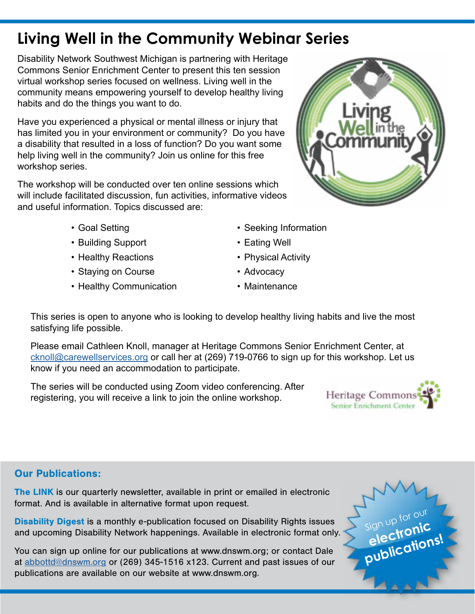# **Living Well in the Community Webinar Series**

Disability Network Southwest Michigan is partnering with Heritage Commons Senior Enrichment Center to present this ten session virtual workshop series focused on wellness. Living well in the community means empowering yourself to develop healthy living habits and do the things you want to do.

Have you experienced a physical or mental illness or injury that has limited you in your environment or community? Do you have a disability that resulted in a loss of function? Do you want some help living well in the community? Join us online for this free workshop series.

The workshop will be conducted over ten online sessions which will include facilitated discussion, fun activities, informative videos and useful information. Topics discussed are:

- Goal Setting
- Building Support
- Healthy Reactions
- Staying on Course
- Healthy Communication
- Seeking Information
- Eating Well
- Physical Activity
- Advocacy
- Maintenance

This series is open to anyone who is looking to develop healthy living habits and live the most satisfying life possible.

Please email Cathleen Knoll, manager at Heritage Commons Senior Enrichment Center, at [cknoll@carewellservices.org](mailto:cknoll%40carewellservices.org?subject=Living%20Well%20in%20the%20Community) or call her at (269) 719-0766 to sign up for this workshop. Let us know if you need an accommodation to participate.

The series will be conducted using Zoom video conferencing. After registering, you will receive a link to join the online workshop.



#### Our Publications:

The LINK is our quarterly newsletter, available in print or emailed in electronic format. And is available in alternative format upon request.

Disability Digest is a monthly e-publication focused on Disability Rights issues and upcoming Disability Network happenings. Available in electronic format only.

You can sign up online for our publications at www.dnswm.org; or contact Dale at [abbottd@dnswm.org](mailto:abbottd%40dnswm.org?subject=) or (269) 345-1516 x123. Current and past issues of our publications are available on our website at www.dnswm.org.